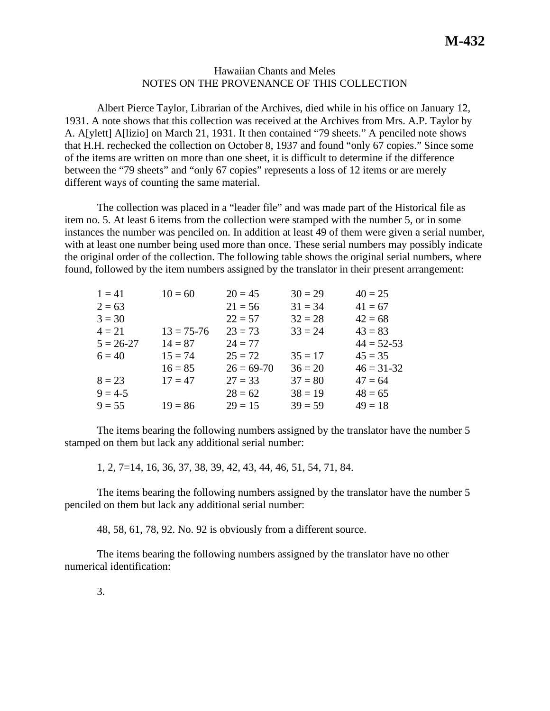## Hawaiian Chants and Meles NOTES ON THE PROVENANCE OF THIS COLLECTION

Albert Pierce Taylor, Librarian of the Archives, died while in his office on January 12, 1931. A note shows that this collection was received at the Archives from Mrs. A.P. Taylor by A. A[ylett] A[lizio] on March 21, 1931. It then contained "79 sheets." A penciled note shows that H.H. rechecked the collection on October 8, 1937 and found "only 67 copies." Since some of the items are written on more than one sheet, it is difficult to determine if the difference between the "79 sheets" and "only 67 copies" represents a loss of 12 items or are merely different ways of counting the same material.

The collection was placed in a "leader file" and was made part of the Historical file as item no. 5. At least 6 items from the collection were stamped with the number 5, or in some instances the number was penciled on. In addition at least 49 of them were given a serial number, with at least one number being used more than once. These serial numbers may possibly indicate the original order of the collection. The following table shows the original serial numbers, where found, followed by the item numbers assigned by the translator in their present arrangement:

| $1 = 41$      | $10 = 60$      | $20 = 45$      | $30 = 29$ | $40 = 25$      |
|---------------|----------------|----------------|-----------|----------------|
| $2 = 63$      |                | $21 = 56$      | $31 = 34$ | $41 = 67$      |
| $3 = 30$      |                | $22 = 57$      | $32 = 28$ | $42 = 68$      |
| $4 = 21$      | $13 = 75 - 76$ | $23 = 73$      | $33 = 24$ | $43 = 83$      |
| $5 = 26 - 27$ | $14 = 87$      | $24 = 77$      |           | $44 = 52 - 53$ |
| $6 = 40$      | $15 = 74$      | $25 = 72$      | $35 = 17$ | $45 = 35$      |
|               | $16 = 85$      | $26 = 69 - 70$ | $36 = 20$ | $46 = 31 - 32$ |
| $8 = 23$      | $17 = 47$      | $27 = 33$      | $37 = 80$ | $47 = 64$      |
| $9 = 4-5$     |                | $28 = 62$      | $38 = 19$ | $48 = 65$      |
| $9 = 55$      | $19 = 86$      | $29 = 15$      | $39 = 59$ | $49 = 18$      |
|               |                |                |           |                |

The items bearing the following numbers assigned by the translator have the number 5 stamped on them but lack any additional serial number:

1, 2, 7=14, 16, 36, 37, 38, 39, 42, 43, 44, 46, 51, 54, 71, 84.

The items bearing the following numbers assigned by the translator have the number 5 penciled on them but lack any additional serial number:

48, 58, 61, 78, 92. No. 92 is obviously from a different source.

The items bearing the following numbers assigned by the translator have no other numerical identification: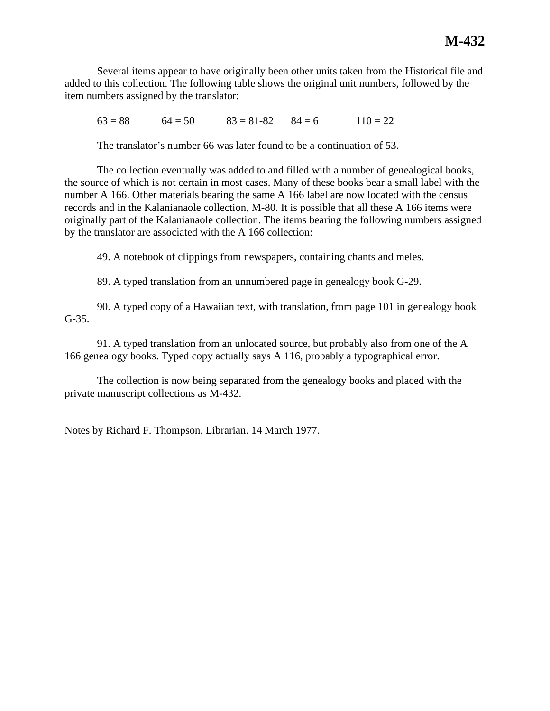Several items appear to have originally been other units taken from the Historical file and added to this collection. The following table shows the original unit numbers, followed by the item numbers assigned by the translator:

 $63 = 88$   $64 = 50$   $83 = 81-82$   $84 = 6$   $110 = 22$ 

The translator's number 66 was later found to be a continuation of 53.

The collection eventually was added to and filled with a number of genealogical books, the source of which is not certain in most cases. Many of these books bear a small label with the number A 166. Other materials bearing the same A 166 label are now located with the census records and in the Kalanianaole collection, M-80. It is possible that all these A 166 items were originally part of the Kalanianaole collection. The items bearing the following numbers assigned by the translator are associated with the A 166 collection:

49. A notebook of clippings from newspapers, containing chants and meles.

89. A typed translation from an unnumbered page in genealogy book G-29.

90. A typed copy of a Hawaiian text, with translation, from page 101 in genealogy book G-35.

91. A typed translation from an unlocated source, but probably also from one of the A 166 genealogy books. Typed copy actually says A 116, probably a typographical error.

The collection is now being separated from the genealogy books and placed with the private manuscript collections as M-432.

Notes by Richard F. Thompson, Librarian. 14 March 1977.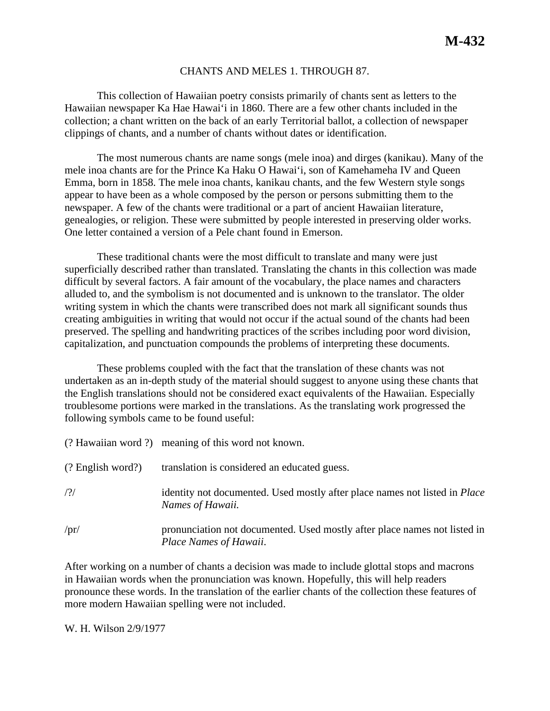## CHANTS AND MELES 1. THROUGH 87.

This collection of Hawaiian poetry consists primarily of chants sent as letters to the Hawaiian newspaper Ka Hae Hawai'i in 1860. There are a few other chants included in the collection; a chant written on the back of an early Territorial ballot, a collection of newspaper clippings of chants, and a number of chants without dates or identification.

The most numerous chants are name songs (mele inoa) and dirges (kanikau). Many of the mele inoa chants are for the Prince Ka Haku O Hawai'i, son of Kamehameha IV and Queen Emma, born in 1858. The mele inoa chants, kanikau chants, and the few Western style songs appear to have been as a whole composed by the person or persons submitting them to the newspaper. A few of the chants were traditional or a part of ancient Hawaiian literature, genealogies, or religion. These were submitted by people interested in preserving older works. One letter contained a version of a Pele chant found in Emerson.

These traditional chants were the most difficult to translate and many were just superficially described rather than translated. Translating the chants in this collection was made difficult by several factors. A fair amount of the vocabulary, the place names and characters alluded to, and the symbolism is not documented and is unknown to the translator. The older writing system in which the chants were transcribed does not mark all significant sounds thus creating ambiguities in writing that would not occur if the actual sound of the chants had been preserved. The spelling and handwriting practices of the scribes including poor word division, capitalization, and punctuation compounds the problems of interpreting these documents.

These problems coupled with the fact that the translation of these chants was not undertaken as an in-depth study of the material should suggest to anyone using these chants that the English translations should not be considered exact equivalents of the Hawaiian. Especially troublesome portions were marked in the translations. As the translating work progressed the following symbols came to be found useful:

|                     | (? Hawaiian word ?) meaning of this word not known.                                                   |  |  |
|---------------------|-------------------------------------------------------------------------------------------------------|--|--|
| $(?$ English word?) | translation is considered an educated guess.                                                          |  |  |
| /?/                 | identity not documented. Used mostly after place names not listed in <i>Place</i><br>Names of Hawaii. |  |  |
| /pr/                | pronunciation not documented. Used mostly after place names not listed in<br>Place Names of Hawaii.   |  |  |

After working on a number of chants a decision was made to include glottal stops and macrons in Hawaiian words when the pronunciation was known. Hopefully, this will help readers pronounce these words. In the translation of the earlier chants of the collection these features of more modern Hawaiian spelling were not included.

W. H. Wilson 2/9/1977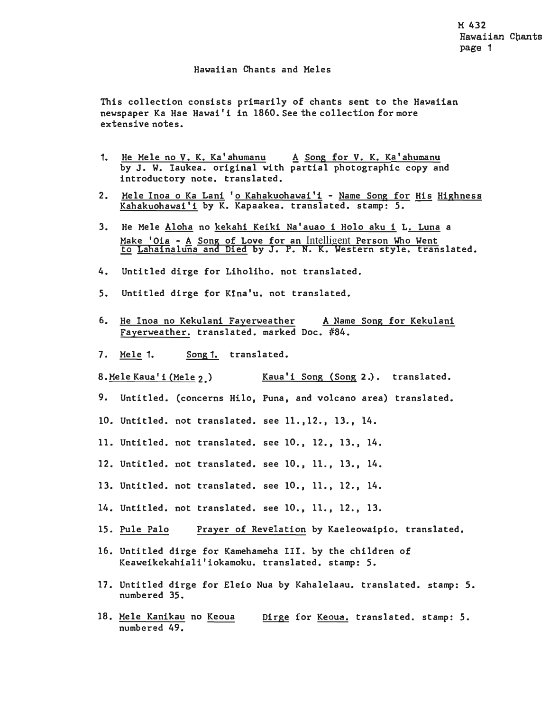## Hawaiian Chants and Meles

This collection consists primarily of chants sent to the **Hawaiian**  newspaper Ka Hae Hawai'i in 1860. See the collection for more extensive notes.

- 1. He Mele no V. K. Ka' ahumanu A Song for V. K. Ka' ahumanu by J. W. Iaukea. original with partial photographic copy and introductory note. translated.
- 2. Mele Inoa o Ka Lani 'o Kahakuohawai'i Name Song for His Highness Kahakuohawai'i by K. Kapaakea. translated. stamp: *5.*
- 3. He Mele Aloha no kekahi Keiki Na'auao i Holo aku i L. Luna a Make 'Oia - A Song of Love for an Intelligent Person Who Went <u>to Lahainaluna and Died</u> by J. P. N. K. Western style. translated.
- 4. Untitled dirge for Liholiho. not translated.
- 5. Untitled dirge for **K1na'u.** not translated.
- 6. He Inoa no Kekulani Fayerweather A Name Song for Kekulani Fayerweather. translated. marked Doc. #84.
- 7. Mele 1. Song 1. translated.
- 8.Mele Kaua' i (Mele 2.) Kaua'i Song (Song **<sup>2</sup>.).** translated.
- 9. Untitled. (concerns Hilo, Puna, and volcano area) translated.
- 10. Untitled. not translated. see 11.,12., 13., 14.
- 11. Untitled. not translated. see 10., 12., 13., 14.
- 12. Untitled. not translated. see 10., 11., 13., 14.
- 13. Untitled. not translated. see 10., 11., 12., 14.
- 14. Untitled. not translated. see 10., 11., 12., 13.
- 15. Pule Palo Prayer of Revelation by Kaeleowaipio. translated.
- 16. Untitled dirge for Kamehameha III. by the children of Keaweikekahiali'iokamoku. translated. stamp: 5.
- 17. Untitled dirge for Eleio Nua by Kahalelaau. translated. stamp: 5. numbered 35.
- 18. Mele Kanikau no Keoua numbered 49. Dirge for Keoua. translated. stamp: 5.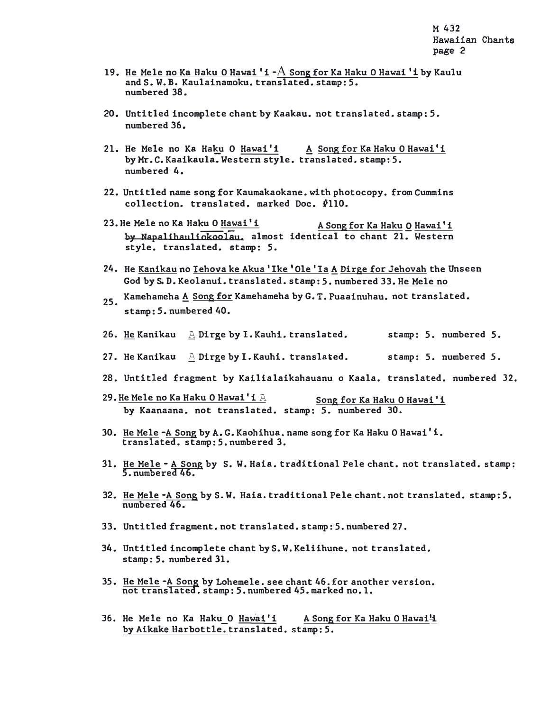- 19. He Mele no Ka Haku O Hawai 'i  $-A$  Song for Ka Haku O Hawai 'i by Kaulu and S. W. B. Kaulainamoku. translated. stamp: 5. numbered 38.
- 20. Untitled incomplete chant by Kaakau. not translated. stamp: 5. numbered 36.
- 21. He Mele no Ka Haku O Hawai'i ! Song for Ka Haku O Hawai'i by Mr. C. Kaaikaula. Western style. translated. stamp: 5. numbered 4.
- 22. Untitled name song for Kaumakaokane. with photocopy. from Cummins  $\text{collection.}$  translated. marked Doc.  $\text{\#}110$ .
- 23. He Mele no Ka Haku O  $\frac{Hawai'i}{1}$  A Song for Ka Haku O Hawai<sup>'</sup>i by Napalihauliokoolau. almost identical to chant 21. Western style. translated. stamp: 5.
- 24.He <u>Kanikau</u> no <u>Iehova ke Akua 'Ike 'Ole 'Ia A</u> <u>Dirge for Jehovah</u> the Unseen God by S. D. Keolanui. translated. stamp: 5. numbered 33. He Mele no
- 25. Kamehameha A Song for Kamehameha by G. T. Puaainuhau. not translated. stamp: *5.* numbered 40.
- 26. He Kanikau <sup>A</sup> Dirge by **I.** Kauhi. translated. stamp: 5. numbered **5.**
- 27. He Kanikau <sup>A</sup> Dirge by **I.** Kauhi. translated. stamp; 5. numbered *s.*
- 28. Untitled fragment by Kailialaikahauanu o Kaala. translated. numbered 32.
- 29. He Mele no Ka Haku O Hawai'i  $A$  Song for Ka Haku O Hawai'i by Kaanaana. not translated. stamp: *5.* numbered 30.
- 30. He Mele -A Song by A. G. Kaohihua. name song for Ka Haku O Hawai' i. translated. stamp: 5. numbered 3.
- 31. He Mele A Song by S. W. Haia. traditional Pele chant. not translated. stamp: 5. numbered 46.
- 32. He Mele -A Song by S. W. Haia. traditional Pele chant. not translated. stamp: 5. numbered 46.
- 33. Untitled fragment. not translated. stamp: 5. numbered 27.
- 34. Untitled incomplete chant by S. W. Keliihune. not translated. stamp: 5. numbered 31.
- 35. He Mele -A Song by Lohemele. see chant 46. for another version. not translated. stamp: 5. numbered 45. marked no.1.
- 36. He Mele no Ka Haku O Hawai'i A Song for Ka Haku O Hawai<sup>1</sup> by Aikake Harbottle. translated. stamp: 5.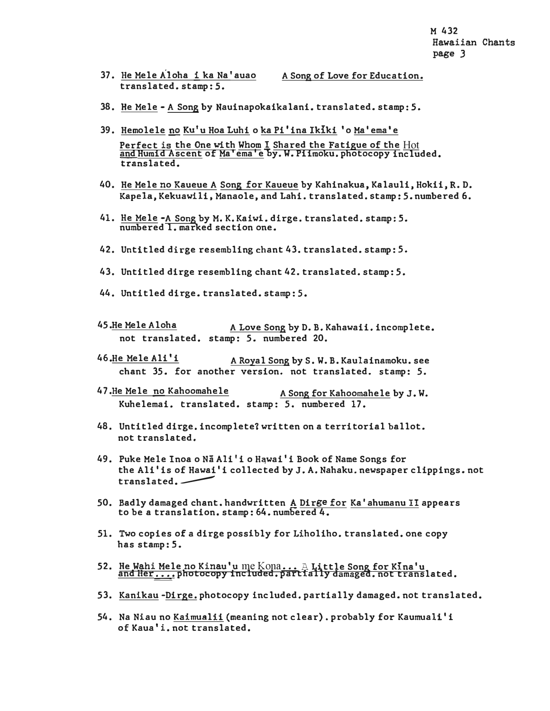- 37. He Mele Aloha i ka Na'auao A Song of Love for Education. translated. stamp: 5.
- 38. He Mele A Song by Nauinapokaikalani. translated. stamp: *5.*
- 39. Hemolele no Ku'u Hoa Luhi o ka Pi'ina Ikiki 'o Ma'ema'e Perfect is the One with Whom I Shared the Fatigue of the Hot and Humid Ascent of Ma'ema'e by. W. Piimoku. photocopy included. translated.
- 40. He Mele no Kaueue A Song for Kaueue by Kahinakua, Kalauli, Hokii, R. D. **Kapela,** Kekuawili, Manaole, and Lahi. translated. stamp: 5. numbered 6.
- 41. He Mele -A Song by M. K. Kaiwi. dirge. translated. stamp: *5.* numbered 1. marked section one.
- 42. Untitled dirge resembling chant 43. translated. stamp: 5.
- 43. Untitled dirge resembling chant 42. translated. stamp: 5.
- 44. Untitled dirge. translated. stamp: 5.
- 45. He Mele Aloha A Love Song by D. B. Kahawaii. incomplete. not translated. stamp: *5.* numbered 20.
- 46.He Mele Ali'i A Royal Song by S.W.B. Kaulainamoku.see chant 35. for another version. not translated. stamp: 5.
- 47. He Mele no Kahoomahele A Song for Kahoomahele by J.W. Kuhelemai. translated. stamp: *5.* numbered 17.
- 48. Untitled dirge. incomplete? written on a territorial ballot. not translated.
- 49. Puke Mele Inoa o Na Ali'i o Hawai'i Book of Name Songs for the Ali'is of Hawai'i collected by J. A. Nahaku. newspaper clippings. not  $translated. -$
- 50. Badly damaged chant. handwritten A Dirge for Ka'ahumanu II appears to be a translation. stamp: 64. numbered 4.
- 51. Two copies of a dirge possibly for Liholiho. translated. one copy has stamp: *5.*
- 52. He Wahi Mele no Kinau'u me Kona... A Little Song for Kina'u and Her,... photocopy included. partially damaged. not translated.
- 53. Kanikau -Dirge. photocopy included. partially damaged. not translated.
- 54. Na Niau no Kaimualii (meaning not clear). probably for Kaumuali'i of Kaua'i. not translated.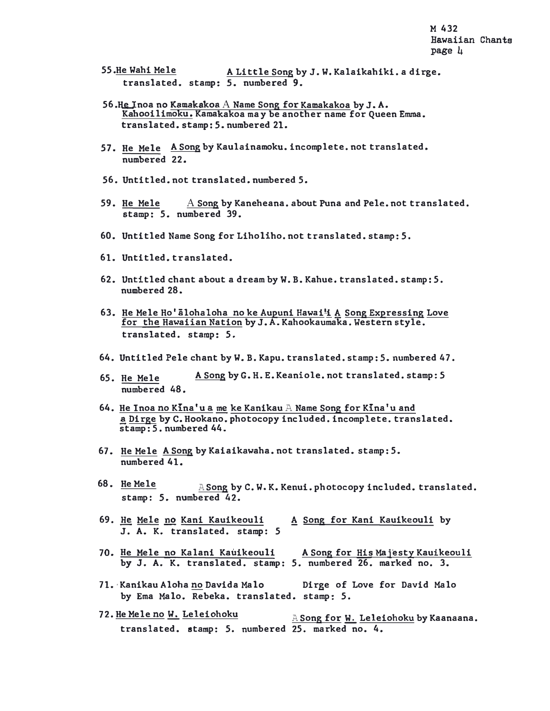- 55.He Wahi Mele A Little Song by J.W. Kalaikahiki. a dirge. translated. stamp: *5.* numbered 9.
- 56.He Inoa no **Kamakakoa** A Name Song for Kamakakoa by J. A. Kahooilimoku. Kamakakoa may be another name for Queen Emma. translated. stamp: *5.* numbered 21.
- *57.* He Mele A Song by Kaulainamoku. incomplete. not translated. numbered 22.
- 56. Untitled. not translated. numbered 5.
- 59. He Mele  $A$  Song by Kaneheana. about Puna and Pele. not translated. stamp: 5. numbered 39.
- 60. Untitled Name Song for Liholiho. not translated. stamp: *5.*
- 61. Untitled. translated.
- 62. Untitled chant about a dream by W. B. Kahue. translated. stamp: 5. numbered 28.
- 63. He Mele Ho'alohaloha no ke Aupuni Hawai<sup>1</sup> A Song Expressing Love for the Hawaiian Nation by J. A. Kahookaumaka. Western style. translated. stamp: 5.
- 64. Untitled Pele chant by W. B. Kapu. translated. stamp: 5. numbered 47.
- 65. He Mele numbered 48. A Song by G. H. E. Keaniole. not translated. stamp: *5*
- 64. He Inoa no Kina'u a me ke Kanikau  $A$  Name Song for Kina'u and a Dirge by C. Hookano. photocopy included. incomplete. translated. stamp: 5. numbered 44.
- 67. He Mele A Song by Kaiaikawaha. not translated. stamp: 5. numbered 41.
- 68. He Mele  $A$  Song by C.W.K. Kenui. photocopy included. translated. stamp: *5.* numbered 42.
- 69. He Mele no Kani Kauikeouli A Song for Kani Kauikeouli by J. A. K. translated. stamp: 5
- 70. He Mele no Kalani Kauikeouli A Song for His Majesty Kauikeouli by J. A. K. translated. stamp: *5.* numbered 26. marked no. 3.
- 71.·Kanikau Aloha no Davida Malo Dirge of Love for David Malo by Ema Malo. Rebeka. translated. stamp: 5.
- 72. He Mele no W. Leleiohoku ASong for W. Leleiohoku by Kaanaana. translated. stamp: 5. numbered 25. marked no. 4.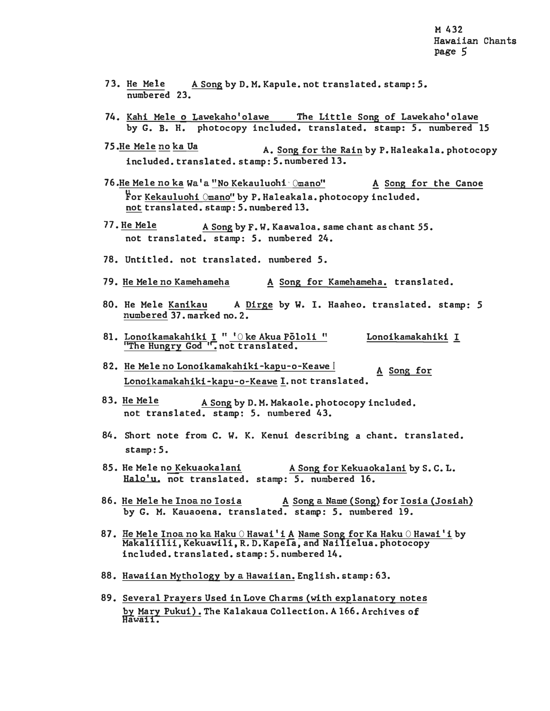- 73. He Mele A Song by D. M. Kapule. not translated. stamp: *5.* numbered 23.
- 74. Kahi Mele o Lawekaho'olawe The Little Song of Lawekaho'olawe by G. B. H. photocopy included. translated. stamp: *5.* numbered 15
- 75. He Mele no ka Ua A. Song for the Rain by P. Haleakala. photocopy included. translated. stamp: 5. numbered 13.
- 76.He Mele no ka Wa'a "No Kekauluohi  $\Diamond$ mano" A Song for the Canoe **<sup>11</sup>**For Kekauluohi Omano" by P. Haleakala. photocopy included. not translated. stamp: 5. numbered 13.
- 77. He Mele A Song by F. W. Kaawaloa. same chant as chant 55. not translated. stamp: 5. numbered 24.
- 78. Untitled. not translated. numbered 5.
- 79. He Mele no Kamehameha ! Song for Kamehameha. translated.
- 80. He Mele Kanikau A Dirge by W. I. Haaheo. translated. stamp: *5* numbered 37. marked no. 2.
- 81. <u>Lonoikamakahiki I " 'O ke Akua Pōloli " Lonoikamakahiki I</u> "The Hungry God ". not translated.
- 82. He Mele no Lonoikamakahiki-kapu-o-Keawe <sup>I</sup> ! Song for Lonoikamakahiki-kapu-o-Keawe I, not translated.
- 83. He Mele A Song by D.M. Makaole. photocopy included. not translated. stamp: *5.* numbered 43.
- 84. Short note from C. W. K. Kenui describing a chant. translated. stamp: 5.
- 85. He Mele no Kekuaokalani A Song for Kekuaokalani by S.C.L. Halo'u. not translated. stamp: *5.* numbered 16.
- 86. He Mele he Inoa no Iosia **A** Song a Name (Song) for Iosia (Josiah) by G. M. Kauaoena. translated. stamp: 5. numbered 19.
- 87. He Mele Inoa no ka Haku O Hawai'i A Name Song for Ka Haku O Hawai'i by Makaliilii, Kekuawili, R. D. Kapela, and Nailielua. photocopy included. translated. stamp: *5.* numbered 14.
- 88. Hawaiian Mythology by a Hawaiian. English. stamp: 63.
- 89. Several Prayers Used in Love Charms (with explanatory notes by Mary Pukui). The Kalakaua Collection. A 166. Archives of Hawaii.